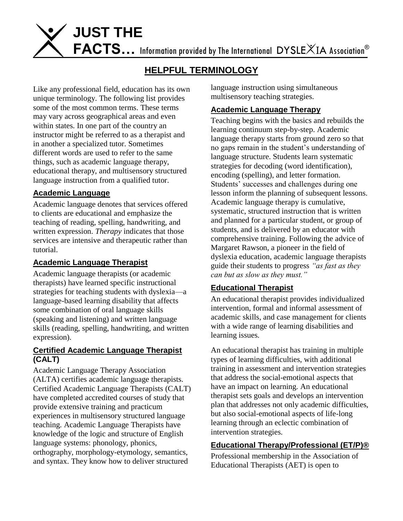**JUST THE** FACTS... Information provided by The International DYSLEXIA Association<sup>®</sup>

# **HELPFUL TERMINOLOGY**

Like any professional field, education has its own unique terminology. The following list provides some of the most common terms. These terms may vary across geographical areas and even within states. In one part of the country an instructor might be referred to as a therapist and in another a specialized tutor. Sometimes different words are used to refer to the same things, such as academic language therapy, educational therapy, and multisensory structured language instruction from a qualified tutor.

#### **Academic Language**

Academic language denotes that services offered to clients are educational and emphasize the teaching of reading, spelling, handwriting, and written expression. *Therapy* indicates that those services are intensive and therapeutic rather than tutorial.

## **Academic Language Therapist**

Academic language therapists (or academic therapists) have learned specific instructional strategies for teaching students with dyslexia—a language-based learning disability that affects some combination of oral language skills (speaking and listening) and written language skills (reading, spelling, handwriting, and written expression).

#### **Certified Academic Language Therapist (CALT)**

Academic Language Therapy Association (ALTA) certifies academic language therapists. Certified Academic Language Therapists (CALT) have completed accredited courses of study that provide extensive training and practicum experiences in multisensory structured language teaching. Academic Language Therapists have knowledge of the logic and structure of English language systems: phonology, phonics, orthography, morphology-etymology, semantics, and syntax. They know how to deliver structured

language instruction using simultaneous multisensory teaching strategies.

## **Academic Language Therapy**

Teaching begins with the basics and rebuilds the learning continuum step-by-step. Academic language therapy starts from ground zero so that no gaps remain in the student's understanding of language structure. Students learn systematic strategies for decoding (word identification), encoding (spelling), and letter formation. Students' successes and challenges during one lesson inform the planning of subsequent lessons. Academic language therapy is cumulative, systematic, structured instruction that is written and planned for a particular student, or group of students, and is delivered by an educator with comprehensive training. Following the advice of Margaret Rawson, a pioneer in the field of dyslexia education, academic language therapists guide their students to progress *"as fast as they can but as slow as they must."* 

## **Educational Therapist**

An educational therapist provides individualized intervention, formal and informal assessment of academic skills, and case management for clients with a wide range of learning disabilities and learning issues.

An educational therapist has training in multiple types of learning difficulties, with additional training in assessment and intervention strategies that address the social-emotional aspects that have an impact on learning. An educational therapist sets goals and develops an intervention plan that addresses not only academic difficulties, but also social-emotional aspects of life-long learning through an eclectic combination of intervention strategies.

## **[Educational Therapy/Professional](http://www.aetonline.org/membership/professional.php) [\(ET/P\)®](http://www.aetonline.org/membership/professional.php)**

Professional membership in the Association of Educational Therapists (AET) is open to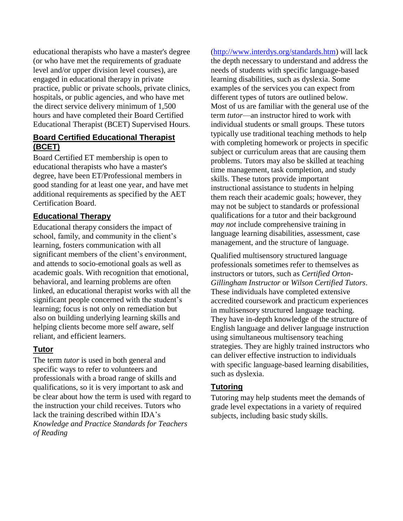educational therapists who have a master's degree (or who have met the requirements of graduate level and/or upper division level courses), are engaged in educational therapy in private practice, public or private schools, private clinics, hospitals, or public agencies, and who have met the direct service delivery minimum of 1,500 hours and have completed their Board Certified Educational Therapist (BCET) Supervised Hours.

#### **Board Certified Educational Therapist (BCET)**

[Board Certified ET m](http://www.aetonline.org/membership/bcet.php)embership is open to educational therapists who have a master's degree, have been ET/Professional members in good standing for at least one year, and have met additional requirements as specified by the AET Certification Board.

## **Educational Therapy**

Educational therapy considers the impact of school, family, and community in the client's learning, fosters communication with all significant members of the client's environment, and attends to socio-emotional goals as well as academic goals. With recognition that emotional, behavioral, and learning problems are often linked, an educational therapist works with all the significant people concerned with the student's learning; focus is not only on remediation but also on building underlying learning skills and helping clients become more self aware, self reliant, and efficient learners.

## **Tutor**

The term *tutor* is used in both general and specific ways to refer to volunteers and professionals with a broad range of skills and qualifications, so it is very important to ask and be clear about how the term is used with regard to the instruction your child receives. Tutors who lack the training described within IDA's *Knowledge and Practice Standards for Teachers of Reading*

[\(http://www.interdys.org/standards.htm\)](http://www.interdys.org/standards.htm) will lack the depth necessary to understand and address the needs of students with specific language-based learning disabilities, such as dyslexia. Some examples of the services you can expect from different types of tutors are outlined below. Most of us are familiar with the general use of the term *tutor*—an instructor hired to work with individual students or small groups. These tutors typically use traditional teaching methods to help with completing homework or projects in specific subject or curriculum areas that are causing them problems. Tutors may also be skilled at teaching time management, task completion, and study skills. These tutors provide important instructional assistance to students in helping them reach their academic goals; however, they may not be subject to standards or professional qualifications for a tutor and their background *may not* include comprehensive training in language learning disabilities, assessment, case management, and the structure of language.

Qualified multisensory structured language professionals sometimes refer to themselves as instructors or tutors, such as *Certified Orton-Gillingham Instructor* or *Wilson Certified Tutors*. These individuals have completed extensive accredited coursework and practicum experiences in multisensory structured language teaching. They have in-depth knowledge of the structure of English language and deliver language instruction using simultaneous multisensory teaching strategies. They are highly trained instructors who can deliver effective instruction to individuals with specific language-based learning disabilities, such as dyslexia.

#### **Tutoring**

Tutoring may help students meet the demands of grade level expectations in a variety of required subjects, including basic study skills.